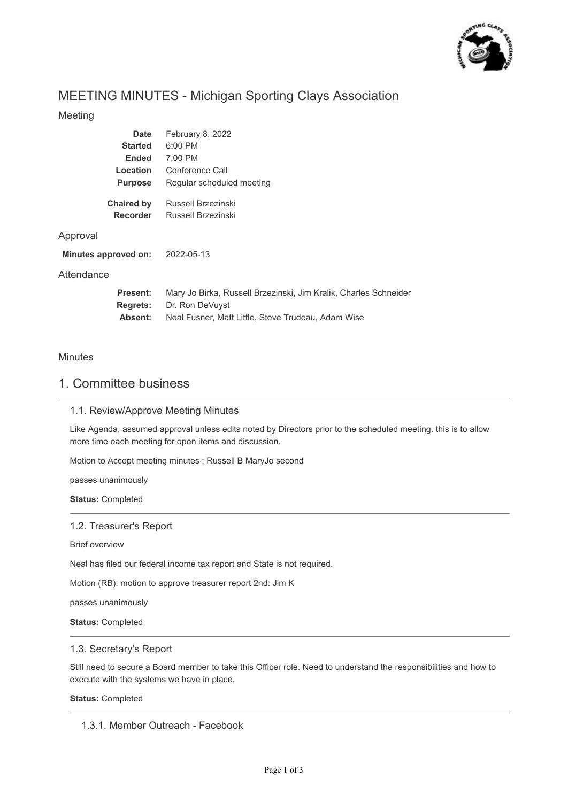

# MEETING MINUTES - Michigan Sporting Clays Association

### Meeting

| <b>Date</b>                      | February 8, 2022                                                 |
|----------------------------------|------------------------------------------------------------------|
| <b>Started</b>                   | $6:00$ PM                                                        |
| <b>Ended</b>                     | 7:00 PM                                                          |
| Location                         | Conference Call                                                  |
| <b>Purpose</b>                   | Regular scheduled meeting                                        |
| <b>Chaired by</b>                | Russell Brzezinski                                               |
| <b>Recorder</b>                  | Russell Brzezinski                                               |
| Approval<br>Minutes approved on: | 2022-05-13                                                       |
| Attendance                       |                                                                  |
| Present:                         | Mary Jo Birka, Russell Brzezinski, Jim Kralik, Charles Schneider |
| <b>Regrets:</b>                  | Dr. Ron DeVuyst                                                  |

Neal Fusner, Matt Little, Steve Trudeau, Adam Wise

### Minutes

# 1. Committee business

**Absent:**

### 1.1. Review/Approve Meeting Minutes

Like Agenda, assumed approval unless edits noted by Directors prior to the scheduled meeting. this is to allow more time each meeting for open items and discussion.

Motion to Accept meeting minutes : Russell B MaryJo second

passes unanimously

**Status:** Completed

#### 1.2. Treasurer's Report

Brief overview

Neal has filed our federal income tax report and State is not required.

Motion (RB): motion to approve treasurer report 2nd: Jim K

passes unanimously

**Status:** Completed

#### 1.3. Secretary's Report

Still need to secure a Board member to take this Officer role. Need to understand the responsibilities and how to execute with the systems we have in place.

**Status:** Completed

1.3.1. Member Outreach - Facebook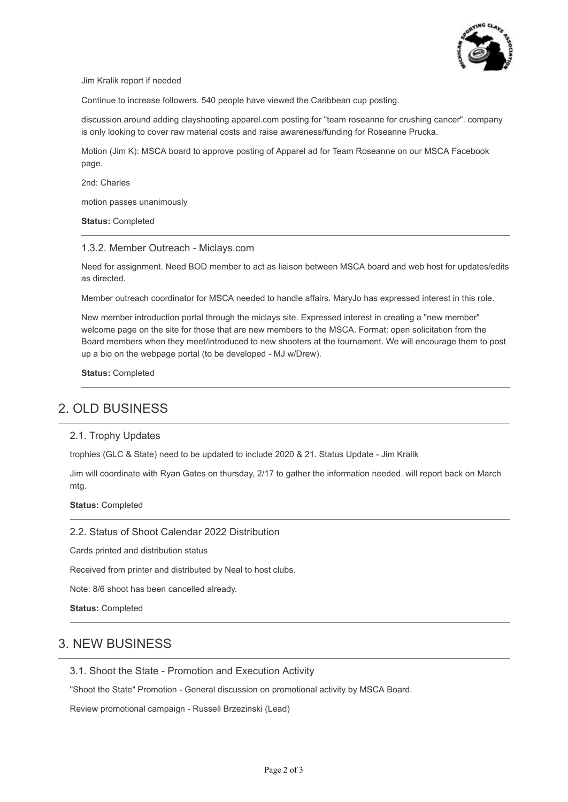

Jim Kralik report if needed

Continue to increase followers. 540 people have viewed the Caribbean cup posting.

discussion around adding clayshooting apparel.com posting for "team roseanne for crushing cancer". company is only looking to cover raw material costs and raise awareness/funding for Roseanne Prucka.

Motion (Jim K): MSCA board to approve posting of Apparel ad for Team Roseanne on our MSCA Facebook page.

2nd: Charles

motion passes unanimously

**Status:** Completed

#### 1.3.2. Member Outreach - Miclays.com

Need for assignment. Need BOD member to act as liaison between MSCA board and web host for updates/edits as directed.

Member outreach coordinator for MSCA needed to handle affairs. MaryJo has expressed interest in this role.

New member introduction portal through the miclays site. Expressed interest in creating a "new member" welcome page on the site for those that are new members to the MSCA. Format: open solicitation from the Board members when they meet/introduced to new shooters at the tournament. We will encourage them to post up a bio on the webpage portal (to be developed - MJ w/Drew).

**Status:** Completed

# 2. OLD BUSINESS

#### 2.1. Trophy Updates

trophies (GLC & State) need to be updated to include 2020 & 21. Status Update - Jim Kralik

Jim will coordinate with Ryan Gates on thursday, 2/17 to gather the information needed. will report back on March mtg.

**Status:** Completed

#### 2.2. Status of Shoot Calendar 2022 Distribution

Cards printed and distribution status

Received from printer and distributed by Neal to host clubs.

Note: 8/6 shoot has been cancelled already.

**Status:** Completed

## 3. NEW BUSINESS

3.1. Shoot the State - Promotion and Execution Activity

"Shoot the State" Promotion - General discussion on promotional activity by MSCA Board.

Review promotional campaign - Russell Brzezinski (Lead)